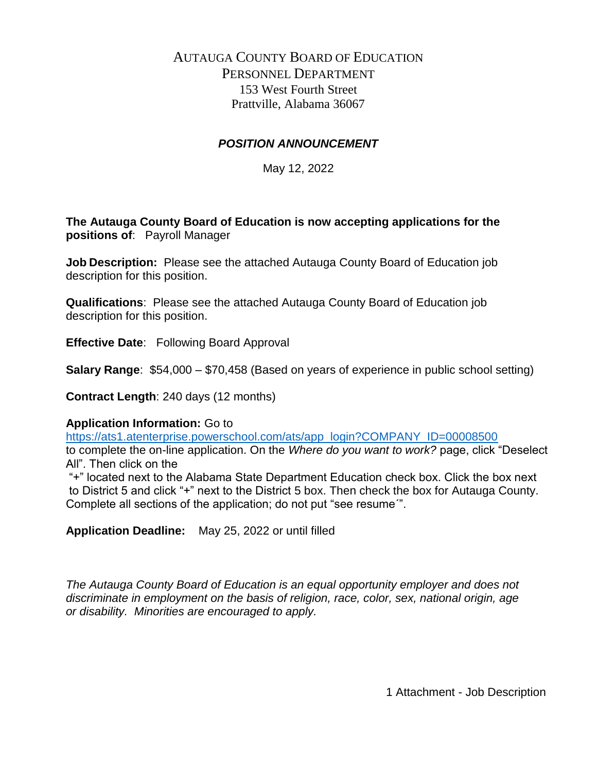# AUTAUGA COUNTY BOARD OF EDUCATION PERSONNEL DEPARTMENT 153 West Fourth Street Prattville, Alabama 36067

# *POSITION ANNOUNCEMENT*

May 12, 2022

**The Autauga County Board of Education is now accepting applications for the positions of**: Payroll Manager

**Job Description:** Please see the attached Autauga County Board of Education job description for this position.

**Qualifications**: Please see the attached Autauga County Board of Education job description for this position.

**Effective Date**: Following Board Approval

**Salary Range**: \$54,000 – \$70,458 (Based on years of experience in public school setting)

**Contract Length**: 240 days (12 months)

## **Application Information:** Go to

[https://ats1.atenterprise.powerschool.com/ats/app\\_login?COMPANY\\_ID=00008500](https://ats1.atenterprise.powerschool.com/ats/app_login?COMPANY_ID=00008500) to complete the on-line application. On the *Where do you want to work?* page, click "Deselect All". Then click on the

"+" located next to the Alabama State Department Education check box. Click the box next to District 5 and click "+" next to the District 5 box. Then check the box for Autauga County. Complete all sections of the application; do not put "see resume´".

**Application Deadline:** May 25, 2022 or until filled

*The Autauga County Board of Education is an equal opportunity employer and does not discriminate in employment on the basis of religion, race, color, sex, national origin, age or disability. Minorities are encouraged to apply.*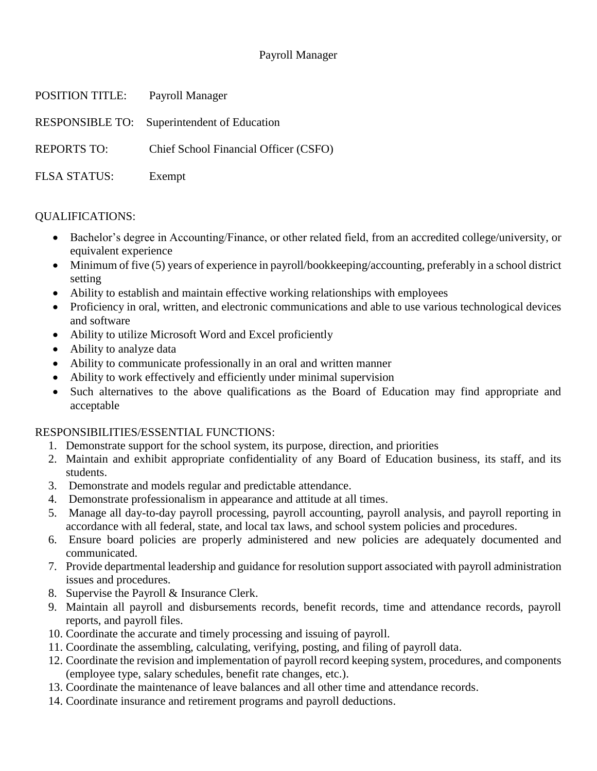# Payroll Manager

| POSITION TITLE:     | Payroll Manager                             |
|---------------------|---------------------------------------------|
|                     | RESPONSIBLE TO: Superintendent of Education |
| <b>REPORTS TO:</b>  | Chief School Financial Officer (CSFO)       |
| <b>FLSA STATUS:</b> | Exempt                                      |

## QUALIFICATIONS:

- Bachelor's degree in Accounting/Finance, or other related field, from an accredited college/university, or equivalent experience
- Minimum of five (5) years of experience in payroll/bookkeeping/accounting, preferably in a school district setting
- Ability to establish and maintain effective working relationships with employees
- Proficiency in oral, written, and electronic communications and able to use various technological devices and software
- Ability to utilize Microsoft Word and Excel proficiently
- Ability to analyze data
- Ability to communicate professionally in an oral and written manner
- Ability to work effectively and efficiently under minimal supervision
- Such alternatives to the above qualifications as the Board of Education may find appropriate and acceptable

## RESPONSIBILITIES/ESSENTIAL FUNCTIONS:

- 1. Demonstrate support for the school system, its purpose, direction, and priorities
- 2. Maintain and exhibit appropriate confidentiality of any Board of Education business, its staff, and its students.
- 3. Demonstrate and models regular and predictable attendance.
- 4. Demonstrate professionalism in appearance and attitude at all times.
- 5. Manage all day-to-day payroll processing, payroll accounting, payroll analysis, and payroll reporting in accordance with all federal, state, and local tax laws, and school system policies and procedures.
- 6. Ensure board policies are properly administered and new policies are adequately documented and communicated.
- 7. Provide departmental leadership and guidance for resolution support associated with payroll administration issues and procedures.
- 8. Supervise the Payroll & Insurance Clerk.
- 9. Maintain all payroll and disbursements records, benefit records, time and attendance records, payroll reports, and payroll files.
- 10. Coordinate the accurate and timely processing and issuing of payroll.
- 11. Coordinate the assembling, calculating, verifying, posting, and filing of payroll data.
- 12. Coordinate the revision and implementation of payroll record keeping system, procedures, and components (employee type, salary schedules, benefit rate changes, etc.).
- 13. Coordinate the maintenance of leave balances and all other time and attendance records.
- 14. Coordinate insurance and retirement programs and payroll deductions.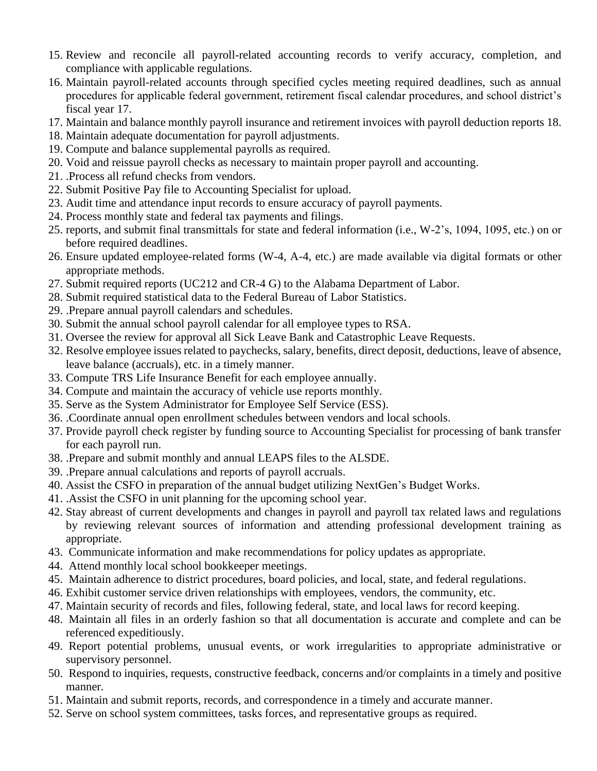- 15. Review and reconcile all payroll-related accounting records to verify accuracy, completion, and compliance with applicable regulations.
- 16. Maintain payroll-related accounts through specified cycles meeting required deadlines, such as annual procedures for applicable federal government, retirement fiscal calendar procedures, and school district's fiscal year 17.
- 17. Maintain and balance monthly payroll insurance and retirement invoices with payroll deduction reports 18.
- 18. Maintain adequate documentation for payroll adjustments.
- 19. Compute and balance supplemental payrolls as required.
- 20. Void and reissue payroll checks as necessary to maintain proper payroll and accounting.
- 21. .Process all refund checks from vendors.
- 22. Submit Positive Pay file to Accounting Specialist for upload.
- 23. Audit time and attendance input records to ensure accuracy of payroll payments.
- 24. Process monthly state and federal tax payments and filings.
- 25. reports, and submit final transmittals for state and federal information (i.e., W-2's, 1094, 1095, etc.) on or before required deadlines.
- 26. Ensure updated employee-related forms (W-4, A-4, etc.) are made available via digital formats or other appropriate methods.
- 27. Submit required reports (UC212 and CR-4 G) to the Alabama Department of Labor.
- 28. Submit required statistical data to the Federal Bureau of Labor Statistics.
- 29. .Prepare annual payroll calendars and schedules.
- 30. Submit the annual school payroll calendar for all employee types to RSA.
- 31. Oversee the review for approval all Sick Leave Bank and Catastrophic Leave Requests.
- 32. Resolve employee issues related to paychecks, salary, benefits, direct deposit, deductions, leave of absence, leave balance (accruals), etc. in a timely manner.
- 33. Compute TRS Life Insurance Benefit for each employee annually.
- 34. Compute and maintain the accuracy of vehicle use reports monthly.
- 35. Serve as the System Administrator for Employee Self Service (ESS).
- 36. .Coordinate annual open enrollment schedules between vendors and local schools.
- 37. Provide payroll check register by funding source to Accounting Specialist for processing of bank transfer for each payroll run.
- 38. .Prepare and submit monthly and annual LEAPS files to the ALSDE.
- 39. .Prepare annual calculations and reports of payroll accruals.
- 40. Assist the CSFO in preparation of the annual budget utilizing NextGen's Budget Works.
- 41. .Assist the CSFO in unit planning for the upcoming school year.
- 42. Stay abreast of current developments and changes in payroll and payroll tax related laws and regulations by reviewing relevant sources of information and attending professional development training as appropriate.
- 43. Communicate information and make recommendations for policy updates as appropriate.
- 44. Attend monthly local school bookkeeper meetings.
- 45. Maintain adherence to district procedures, board policies, and local, state, and federal regulations.
- 46. Exhibit customer service driven relationships with employees, vendors, the community, etc.
- 47. Maintain security of records and files, following federal, state, and local laws for record keeping.
- 48. Maintain all files in an orderly fashion so that all documentation is accurate and complete and can be referenced expeditiously.
- 49. Report potential problems, unusual events, or work irregularities to appropriate administrative or supervisory personnel.
- 50. Respond to inquiries, requests, constructive feedback, concerns and/or complaints in a timely and positive manner.
- 51. Maintain and submit reports, records, and correspondence in a timely and accurate manner.
- 52. Serve on school system committees, tasks forces, and representative groups as required.